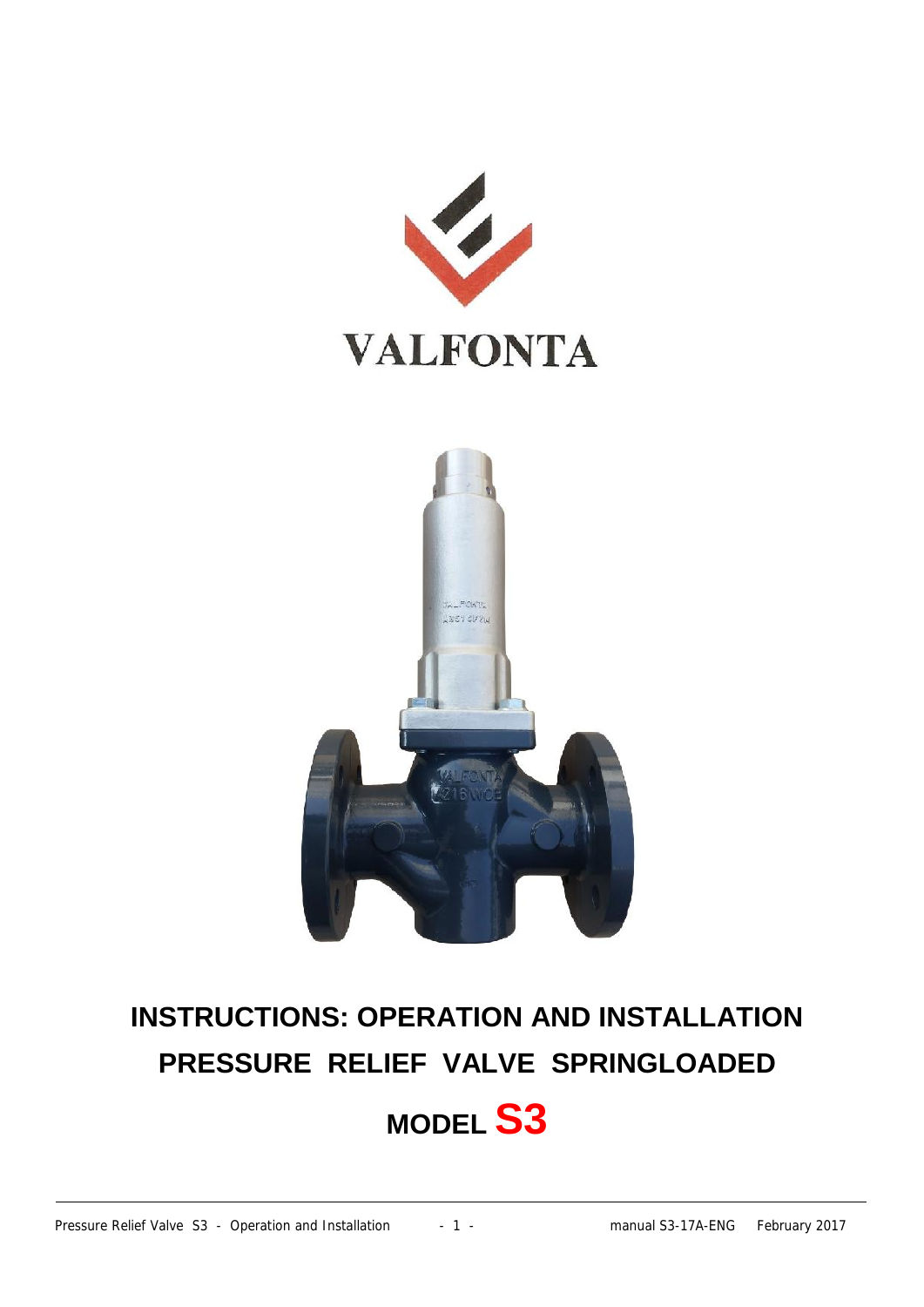



# **INSTRUCTIONS: OPERATION AND INSTALLATION PRESSURE RELIEF VALVE SPRINGLOADED MODEL S3**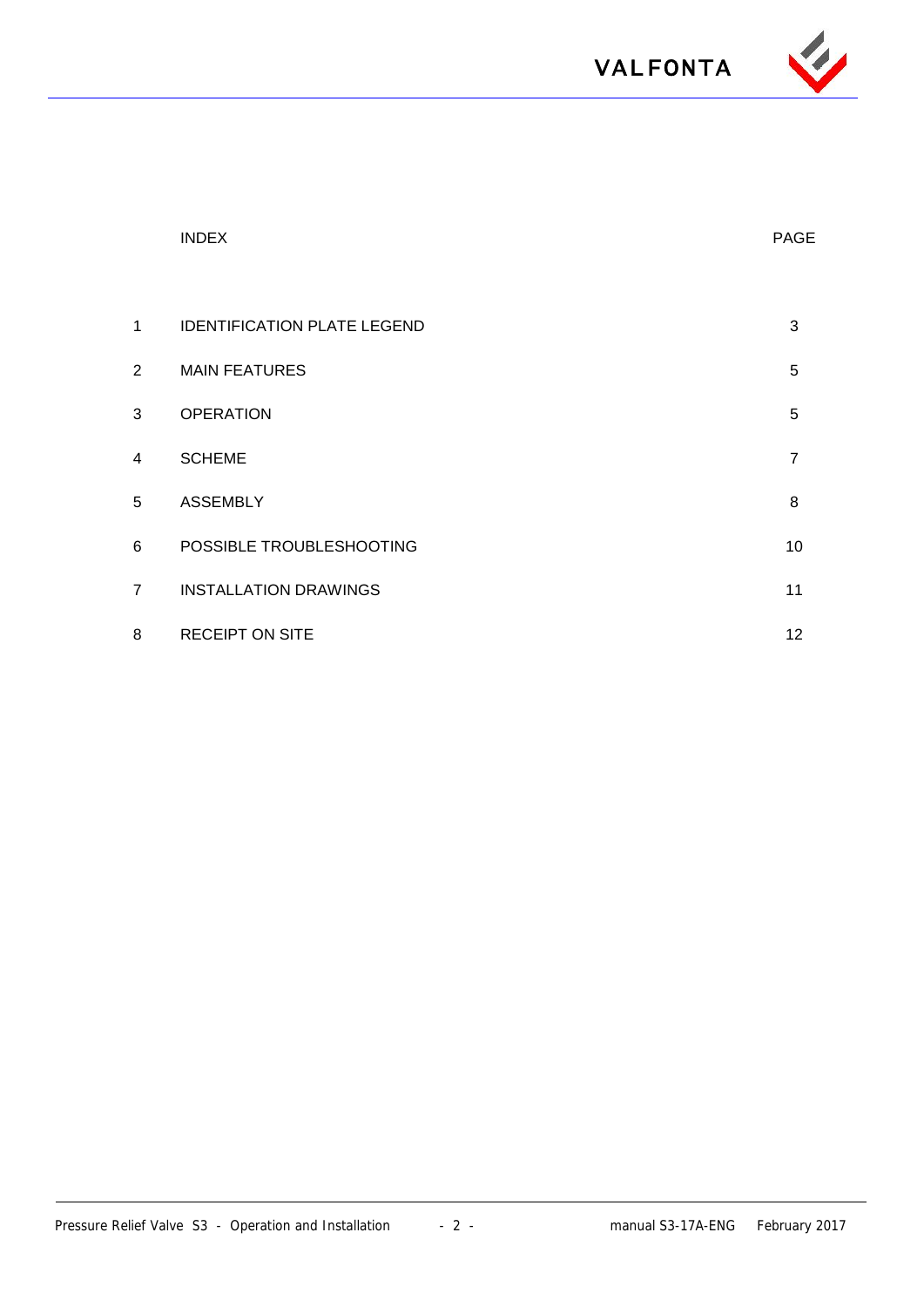

|                | <b>INDEX</b>                       | <b>PAGE</b>    |
|----------------|------------------------------------|----------------|
|                |                                    |                |
| $\mathbf{1}$   | <b>IDENTIFICATION PLATE LEGEND</b> | $\mathbf{3}$   |
| $\overline{2}$ | <b>MAIN FEATURES</b>               | $\overline{5}$ |
| 3              | <b>OPERATION</b>                   | 5              |
| 4              | <b>SCHEME</b>                      | $\overline{7}$ |
| 5              | <b>ASSEMBLY</b>                    | 8              |
| 6              | POSSIBLE TROUBLESHOOTING           | 10             |
| $\overline{7}$ | <b>INSTALLATION DRAWINGS</b>       | 11             |
| 8              | <b>RECEIPT ON SITE</b>             | 12             |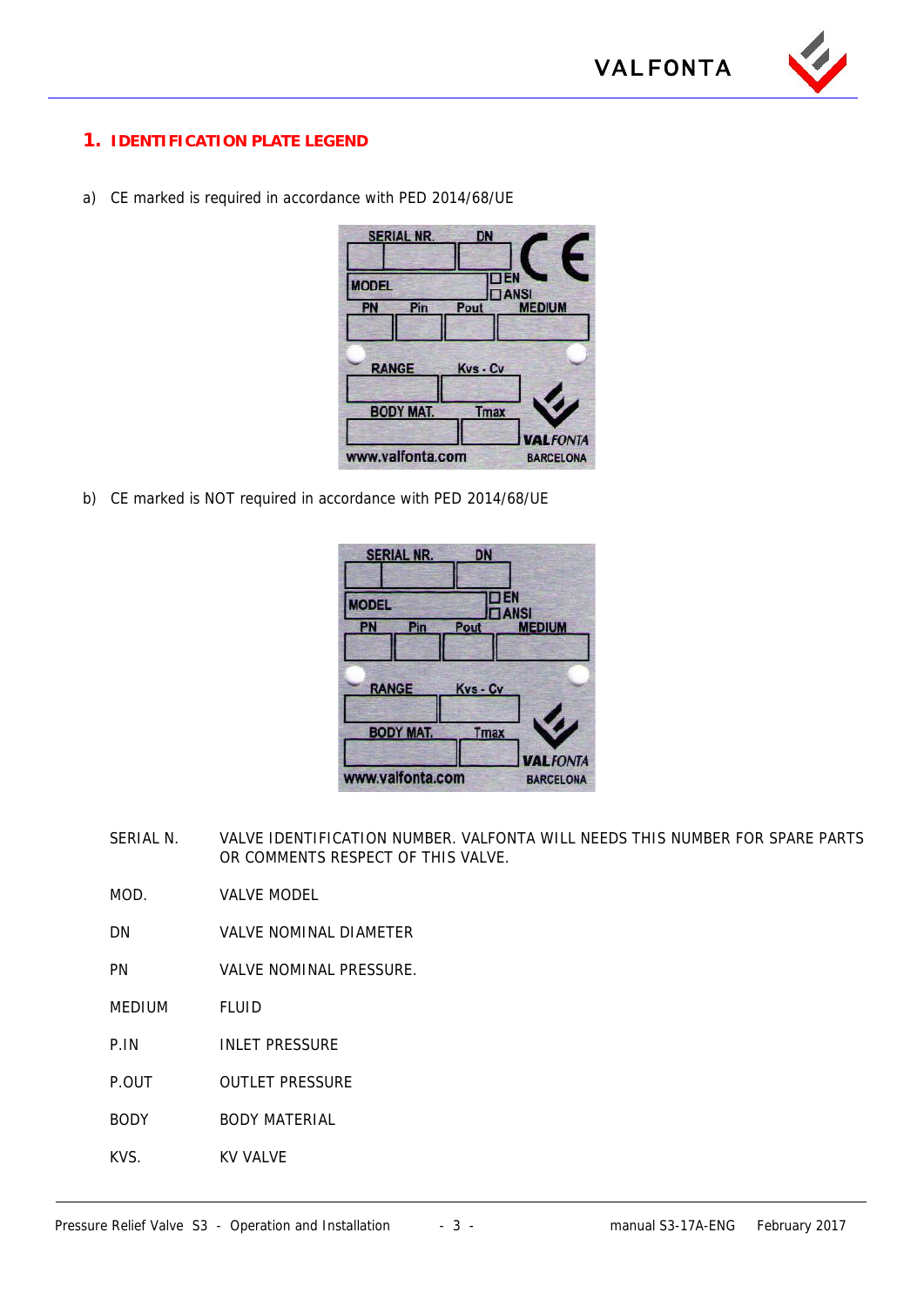### **1. IDENTIFICATION PLATE LEGEND**

a) CE marked is required in accordance with PED 2014/68/UE



b) CE marked is NOT required in accordance with PED 2014/68/UE

| <b>SERIAL NR.</b>         | DN          |                                     |
|---------------------------|-------------|-------------------------------------|
| <b>MODEL</b><br>Pin<br>PN | Pout        | ΞN<br><b>IANSI</b><br><b>MEDIUM</b> |
| <b>RANGE</b>              | Kvs - Cv    |                                     |
| <b>BODY MAT.</b>          | <b>Tmax</b> | <b>VALFONTA</b>                     |
| www.valfonta.com          |             | <b>BARCELONA</b>                    |

SERIAL N. VALVE IDENTIFICATION NUMBER. VALFONTA WILL NEEDS THIS NUMBER FOR SPARE PARTS OR COMMENTS RESPECT OF THIS VALVE.

MOD. VALVE MODEL

- DN VALVE NOMINAL DIAMETER
- PN VALVE NOMINAL PRESSURE.
- MEDIUM FLUID
- P.IN INLET PRESSURE
- P.OUT OUTLET PRESSURE
- BODY BODY MATERIAL
- KVS. KV VALVE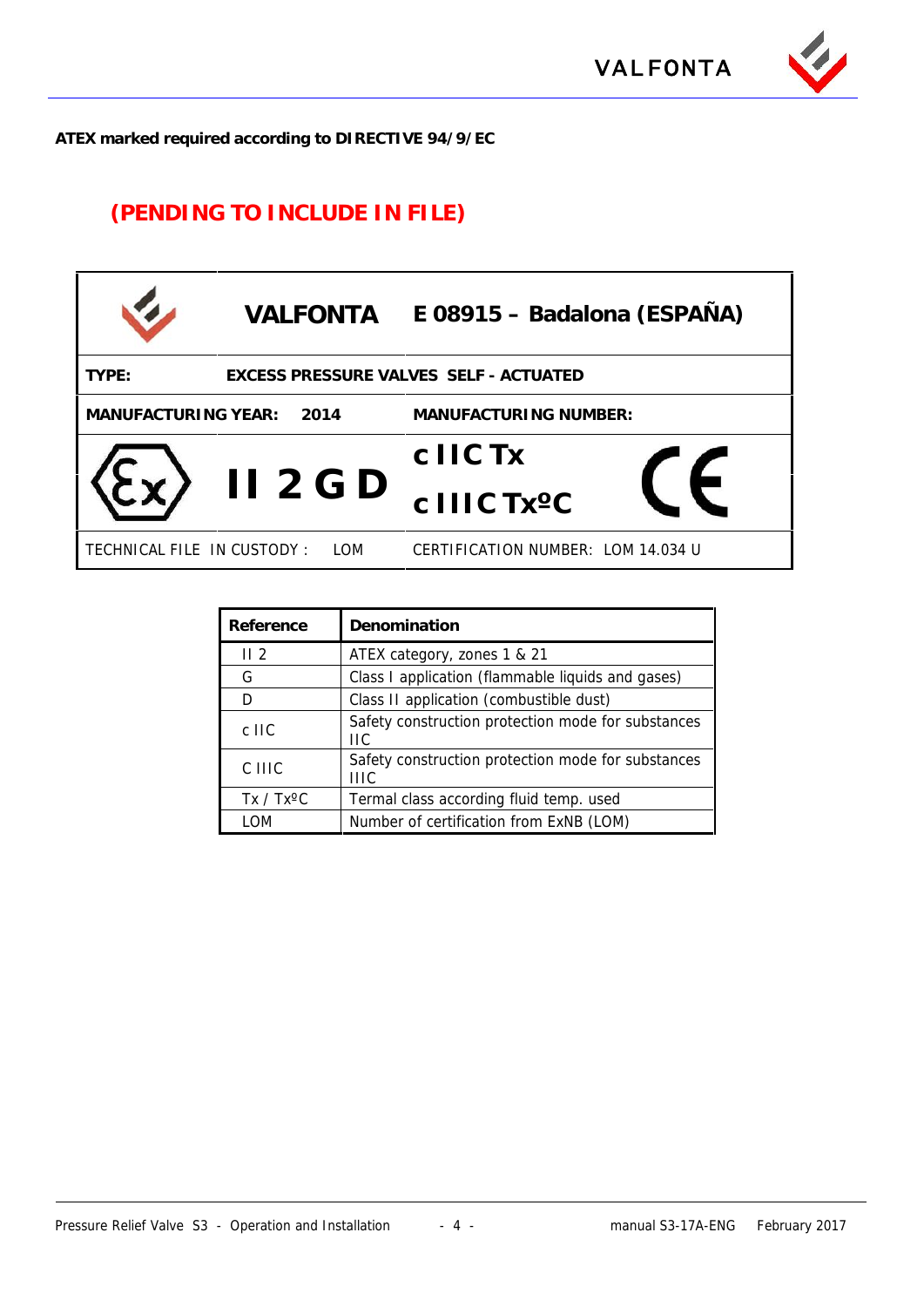

**ATEX marked required according to DIRECTIVE 94/9/EC**

## **(PENDING TO INCLUDE IN FILE)**

| <b>VALFONTA</b>                   | E 08915 – Badalona (ESPAÑA)            |
|-----------------------------------|----------------------------------------|
| TYPE:                             | EXCESS PRESSURE VALVES SELF - ACTUATED |
| MANUFACTURING YEAR:<br>2014       | MANUFACTURING NUMBER:                  |
|                                   | c IIC Tx                               |
| $II$ 2 G D                        | c IIIC Tx <sup>o</sup> C               |
| TECHNICAL FILE IN CUSTODY:<br>LOM | CERTIFICATION NUMBER: LOM 14.034 U     |

| Reference          | Denomination                                              |
|--------------------|-----------------------------------------------------------|
| II <sub>2</sub>    | ATEX category, zones 1 & 21                               |
| G                  | Class I application (flammable liquids and gases)         |
| D                  | Class II application (combustible dust)                   |
| $c$ IIC            | Safety construction protection mode for substances<br>ПC  |
| C IIIC             | Safety construction protection mode for substances<br>HIC |
| $Tx / Tx^{\circ}C$ | Termal class according fluid temp. used                   |
| LOM                | Number of certification from ExNB (LOM)                   |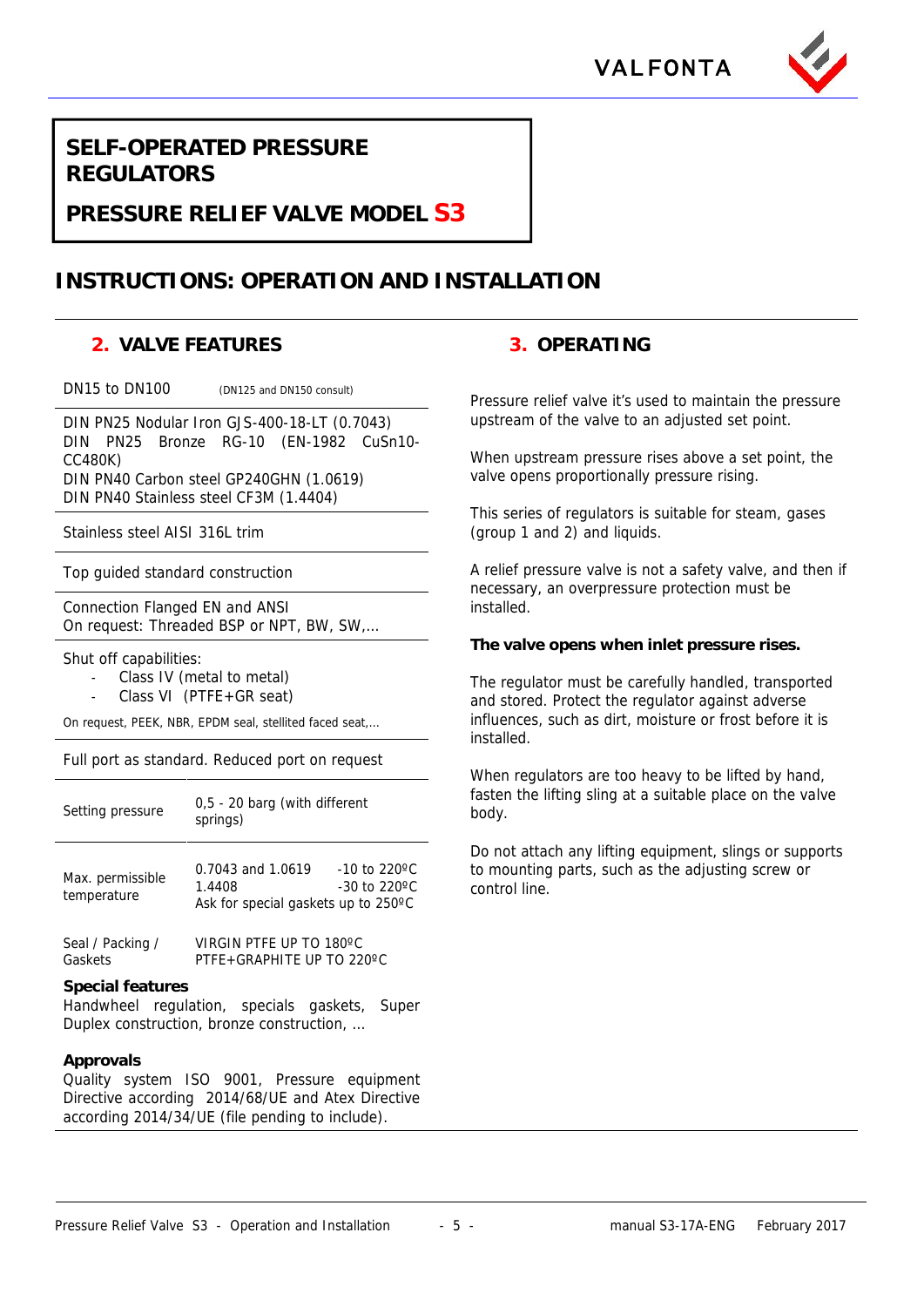



**SELF-OPERATED PRESSURE REGULATORS**

**PRESSURE RELIEF VALVE MODEL S3**

## **INSTRUCTIONS: OPERATION AND INSTALLATION**

### **2. VALVE FEATURES 3. OPERATING**

DIN PN25 Nodular Iron GJS-400-18-LT (0.7043) DIN PN25 Bronze RG-10 (EN-1982 CuSn10- CC480K) DIN PN40 Carbon steel GP240GHN (1.0619) DIN PN40 Stainless steel CF3M (1.4404)

Stainless steel AISI 316L trim

Top guided standard construction

Connection Flanged EN and ANSI On request: Threaded BSP or NPT, BW, SW,…

Shut off capabilities:

- Class IV (metal to metal)
- Class VI (PTFE+GR seat)

On request, PEEK, NBR, EPDM seal, stellited faced seat,…

#### Full port as standard. Reduced port on request

| Setting pressure                | 0,5 - 20 barg (with different<br>springs)                          |                                    | f:<br>h     |
|---------------------------------|--------------------------------------------------------------------|------------------------------------|-------------|
| Max. permissible<br>temperature | 0.7043 and 1.0619<br>1.4408<br>Ask for special gaskets up to 250°C | $-10$ to 220 °C<br>$-30$ to 220 °C | Γ<br>t<br>C |
| Seal / Packing /                | VIRGIN PTFE UP TO 180°C                                            |                                    |             |

Gaskets PTFE+GRAPHITE UP TO 220ºC

#### **Special features**

Handwheel regulation, specials gaskets, Super Duplex construction, bronze construction, …

#### **Approvals**

Quality system ISO 9001, Pressure equipment Directive according 2014/68/UE and Atex Directive according 2014/34/UE (file pending to include).

DN15 to DN100 (DN125 and DN150 consult) Pressure relief valve it's used to maintain the pressure upstream of the valve to an adjusted set point.

> When upstream pressure rises above a set point, the valve opens proportionally pressure rising.

This series of regulators is suitable for steam, gases (group 1 and 2) and liquids.

A relief pressure valve is not a safety valve, and then if necessary, an overpressure protection must be installed.

**The valve opens when inlet pressure rises.**

The regulator must be carefully handled, transported and stored. Protect the regulator against adverse influences, such as dirt, moisture or frost before it is installed.

When regulators are too heavy to be lifted by hand, fasten the lifting sling at a suitable place on the valve body.

Do not attach any lifting equipment, slings or supports to mounting parts, such as the adjusting screw or control line.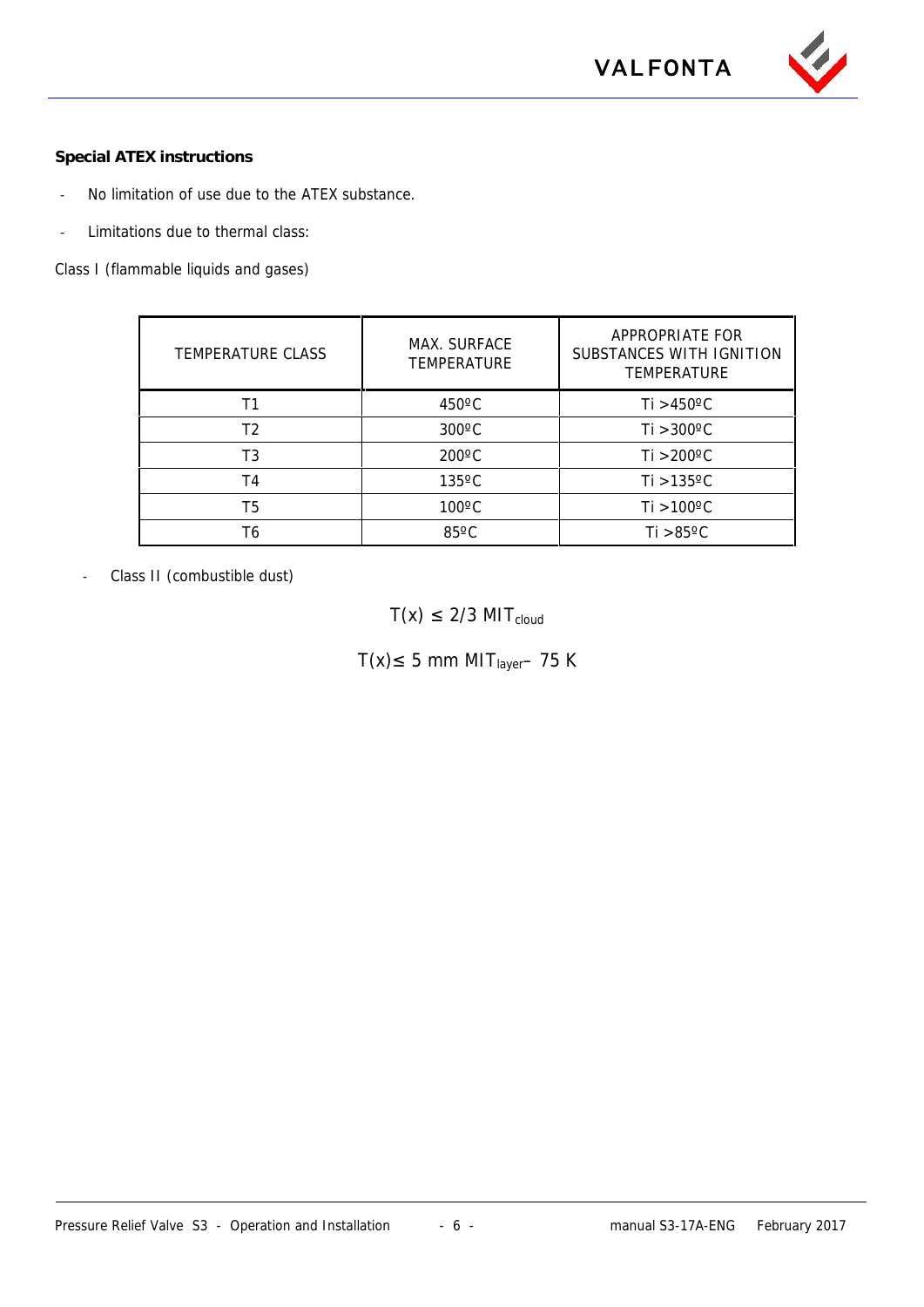

**Special ATEX instructions**

- No limitation of use due to the ATEX substance.
- Limitations due to thermal class:

Class I (flammable liquids and gases)

| TEMPERATURE CLASS | MAX. SURFACE<br><b>TEMPERATURE</b> | APPROPRIATE FOR<br>SUBSTANCES WITH IGNITION<br><b>TEMPERATURE</b> |
|-------------------|------------------------------------|-------------------------------------------------------------------|
|                   | $450^{\circ}$ C                    | Ti $>450^{\circ}$ C                                               |
| Т2                | $300^{\circ}$ C                    | $Ti > 300^{\circ}C$                                               |
| T3                | $200^{\circ}$ C                    | Ti >200°C                                                         |
| T4                | $135^{\circ}$ C                    | Ti $>135^{\circ}$ C                                               |
| T5                | $100^{\circ}$ C                    | $Ti > 100^{\circ}C$                                               |
| Т6                | $85^{\circ}$ C                     | $Ti > 85^{\circ}C$                                                |

- Class II (combustible dust)

 $T(x)$  2/3 MIT<sub>cloud</sub>

 $T(x)$  5 mm MIT<sub>layer</sub>– 75 K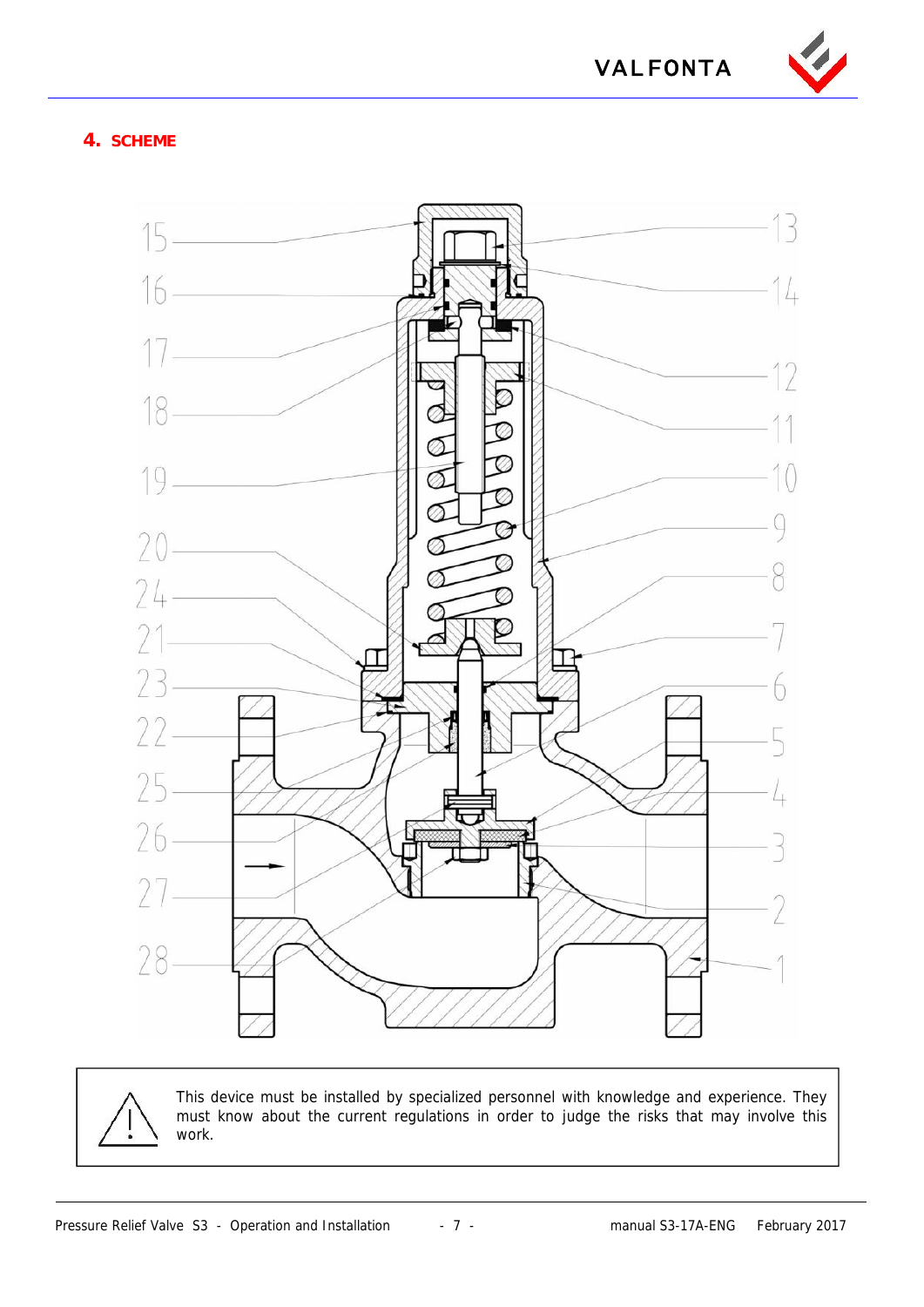

### **4. SCHEME**



This device must be installed by specialized personnel with knowledge and experience. They must know about the current regulations in order to judge the risks that may involve this work.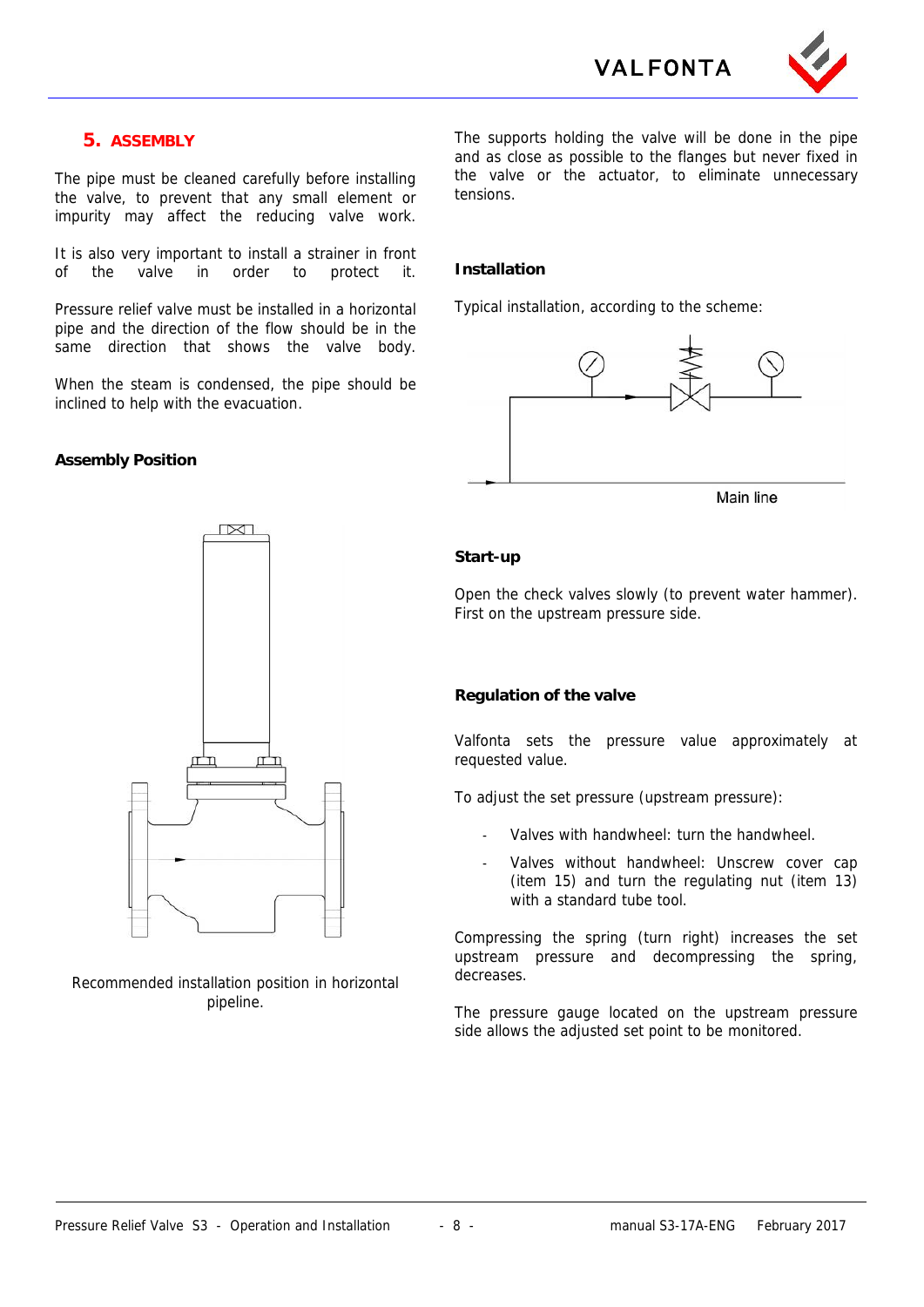**VALFONTA**



### **5. ASSEMBLY**

The pipe must be cleaned carefully before installing the valve, to prevent that any small element or impurity may affect the reducing valve work.

It is also very important to install a strainer in front of the valve in order to protect it.

Pressure relief valve must be installed in a horizontal pipe and the direction of the flow should be in the same direction that shows the valve body.

When the steam is condensed, the pipe should be inclined to help with the evacuation.

#### **Assembly Position**

 $\sqrt{2}$ 

Recommended installation position in horizontal pipeline.

The supports holding the valve will be done in the pipe and as close as possible to the flanges but never fixed in the valve or the actuator, to eliminate unnecessary tensions.

#### **Installation**

Typical installation, according to the scheme:



Main line

#### **Start-up**

Open the check valves slowly (to prevent water hammer). First on the upstream pressure side.

#### **Regulation of the valve**

Valfonta sets the pressure value approximately at requested value.

To adjust the set pressure (upstream pressure):

- Valves with handwheel: turn the handwheel.
- Valves without handwheel: Unscrew cover cap (item 15) and turn the regulating nut (item 13) with a standard tube tool.

Compressing the spring (turn right) increases the set upstream pressure and decompressing the spring, decreases.

The pressure gauge located on the upstream pressure side allows the adjusted set point to be monitored.

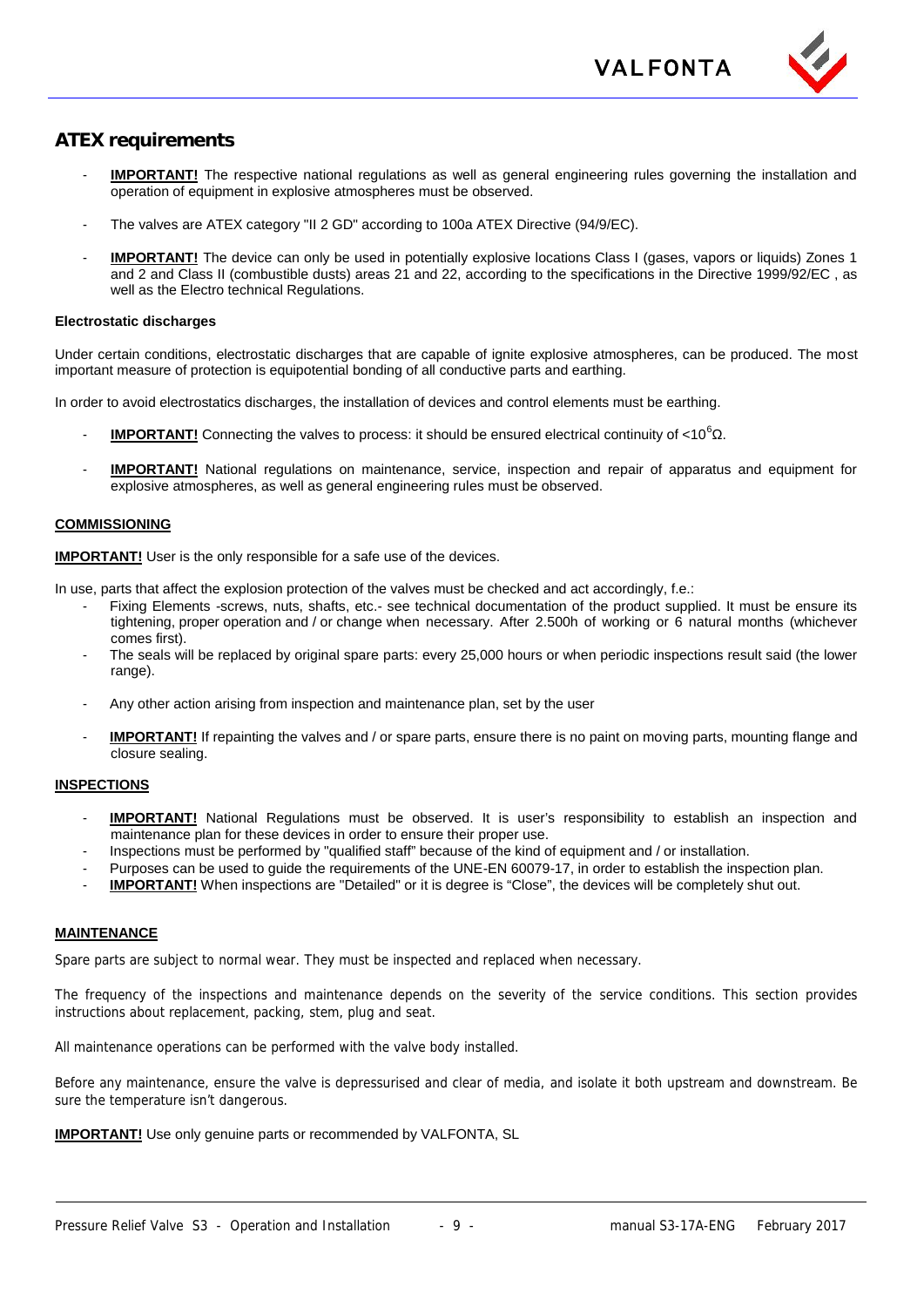

### **ATEX requirements**

- **IMPORTANT!** The respective national regulations as well as general engineering rules governing the installation and operation of equipment in explosive atmospheres must be observed.
- The valves are ATEX category "II 2 GD" according to 100a ATEX Directive (94/9/EC).
- **IMPORTANT!** The device can only be used in potentially explosive locations Class I (gases, vapors or liquids) Zones 1 and 2 and Class II (combustible dusts) areas 21 and 22, according to the specifications in the Directive 1999/92/EC , as well as the Electro technical Regulations.

#### **Electrostatic discharges**

Under certain conditions, electrostatic discharges that are capable of ignite explosive atmospheres, can be produced. The most important measure of protection is equipotential bonding of all conductive parts and earthing.

In order to avoid electrostatics discharges, the installation of devices and control elements must be earthing.

- **IMPORTANT!** Connecting the valves to process: it should be ensured electrical continuity of <10<sup>6</sup>.
- **IMPORTANT!** National regulations on maintenance, service, inspection and repair of apparatus and equipment for explosive atmospheres, as well as general engineering rules must be observed.

#### **COMMISSIONING**

**IMPORTANT!** User is the only responsible for a safe use of the devices.

In use, parts that affect the explosion protection of the valves must be checked and act accordingly, f.e.:

- Fixing Elements -screws, nuts, shafts, etc.- see technical documentation of the product supplied. It must be ensure its tightening, proper operation and / or change when necessary. After 2.500h of working or 6 natural months (whichever comes first).
- The seals will be replaced by original spare parts: every 25,000 hours or when periodic inspections result said (the lower range).
- Any other action arising from inspection and maintenance plan, set by the user
- **IMPORTANT!** If repainting the valves and / or spare parts, ensure there is no paint on moving parts, mounting flange and closure sealing.

#### **INSPECTIONS**

- **IMPORTANT!** National Regulations must be observed. It is user's responsibility to establish an inspection and maintenance plan for these devices in order to ensure their proper use.
- Inspections must be performed by "qualified staff" because of the kind of equipment and / or installation.
- Purposes can be used to guide the requirements of the UNE-EN 60079-17, in order to establish the inspection plan.
- **IMPORTANT!** When inspections are "Detailed" or it is degree is "Close", the devices will be completely shut out.

#### **MAINTENANCE**

Spare parts are subject to normal wear. They must be inspected and replaced when necessary.

The frequency of the inspections and maintenance depends on the severity of the service conditions. This section provides instructions about replacement, packing, stem, plug and seat.

All maintenance operations can be performed with the valve body installed.

Before any maintenance, ensure the valve is depressurised and clear of media, and isolate it both upstream and downstream. Be sure the temperature isn't dangerous.

**IMPORTANT!** Use only genuine parts or recommended by VALFONTA, SL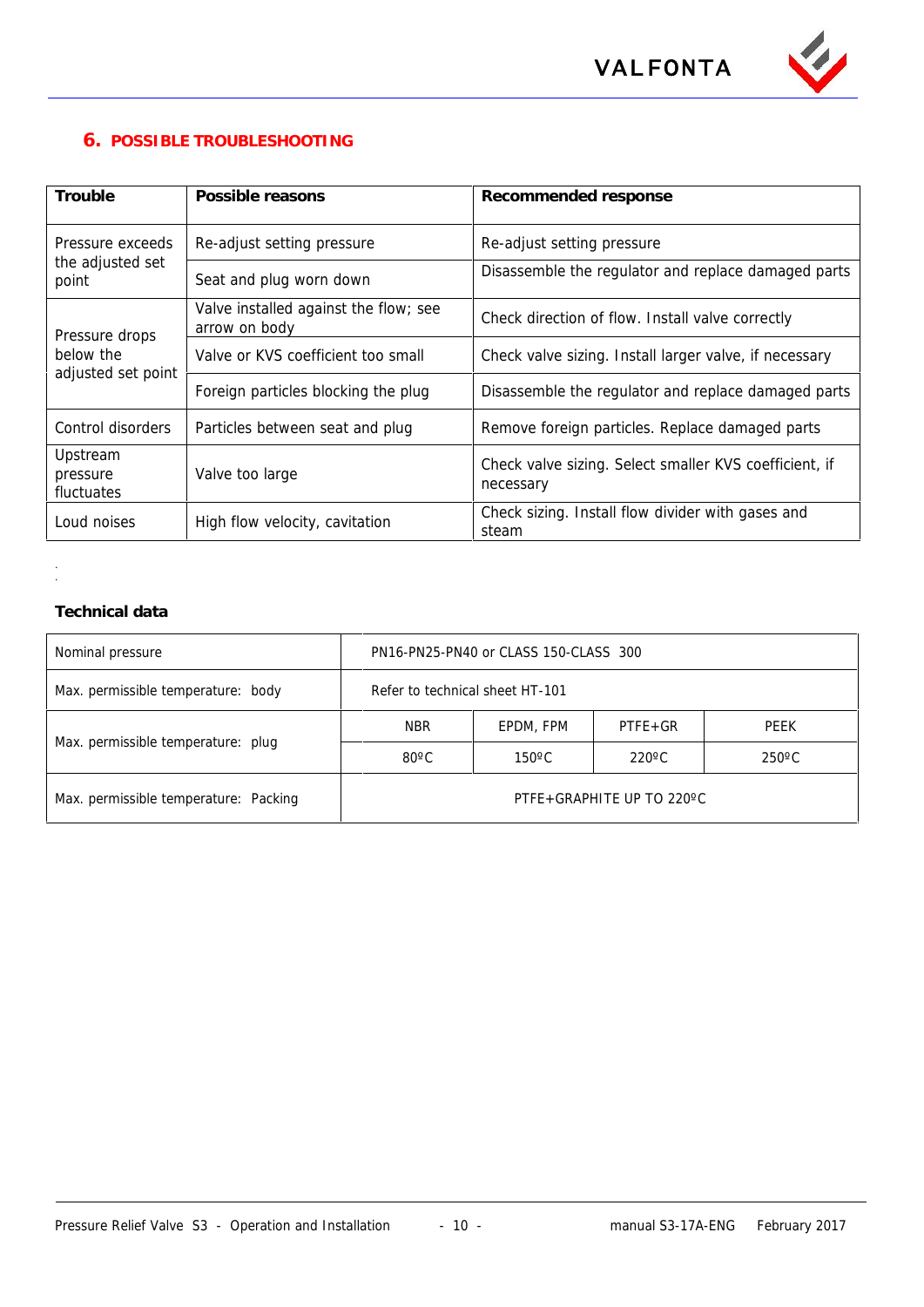

### **6. POSSIBLE TROUBLESHOOTING**

| Trouble                            | Possible reasons                                       | Recommended response                                                |
|------------------------------------|--------------------------------------------------------|---------------------------------------------------------------------|
| Pressure exceeds                   | Re-adjust setting pressure                             | Re-adjust setting pressure                                          |
| the adjusted set<br>point          | Seat and plug worn down                                | Disassemble the regulator and replace damaged parts                 |
| Pressure drops                     | Valve installed against the flow; see<br>arrow on body | Check direction of flow. Install valve correctly                    |
| below the                          | Valve or KVS coefficient too small                     | Check valve sizing. Install larger valve, if necessary              |
| adjusted set point                 | Foreign particles blocking the plug                    | Disassemble the regulator and replace damaged parts                 |
| Control disorders                  | Particles between seat and plug                        | Remove foreign particles. Replace damaged parts                     |
| Upstream<br>pressure<br>fluctuates | Valve too large                                        | Check valve sizing. Select smaller KVS coefficient, if<br>necessary |
| Loud noises                        | High flow velocity, cavitation                         | Check sizing. Install flow divider with gases and<br>steam          |

### **Technical data**

. .

| Nominal pressure                      |                                   | PN16-PN25-PN40 or CLASS 150-CLASS 300 |                                    |             |  |
|---------------------------------------|-----------------------------------|---------------------------------------|------------------------------------|-------------|--|
| Max. permissible temperature: body    | Refer to technical sheet HT-101   |                                       |                                    |             |  |
|                                       | <b>NBR</b>                        | EPDM, FPM                             | $PTFE+GR$                          | <b>PEEK</b> |  |
| Max. permissible temperature: plug    | $80^{\circ}$ C<br>$150^{\circ}$ C |                                       | $220^{\circ}$ C<br>$250^{\circ}$ C |             |  |
| Max. permissible temperature: Packing | PTFE+GRAPHITE UP TO 220°C         |                                       |                                    |             |  |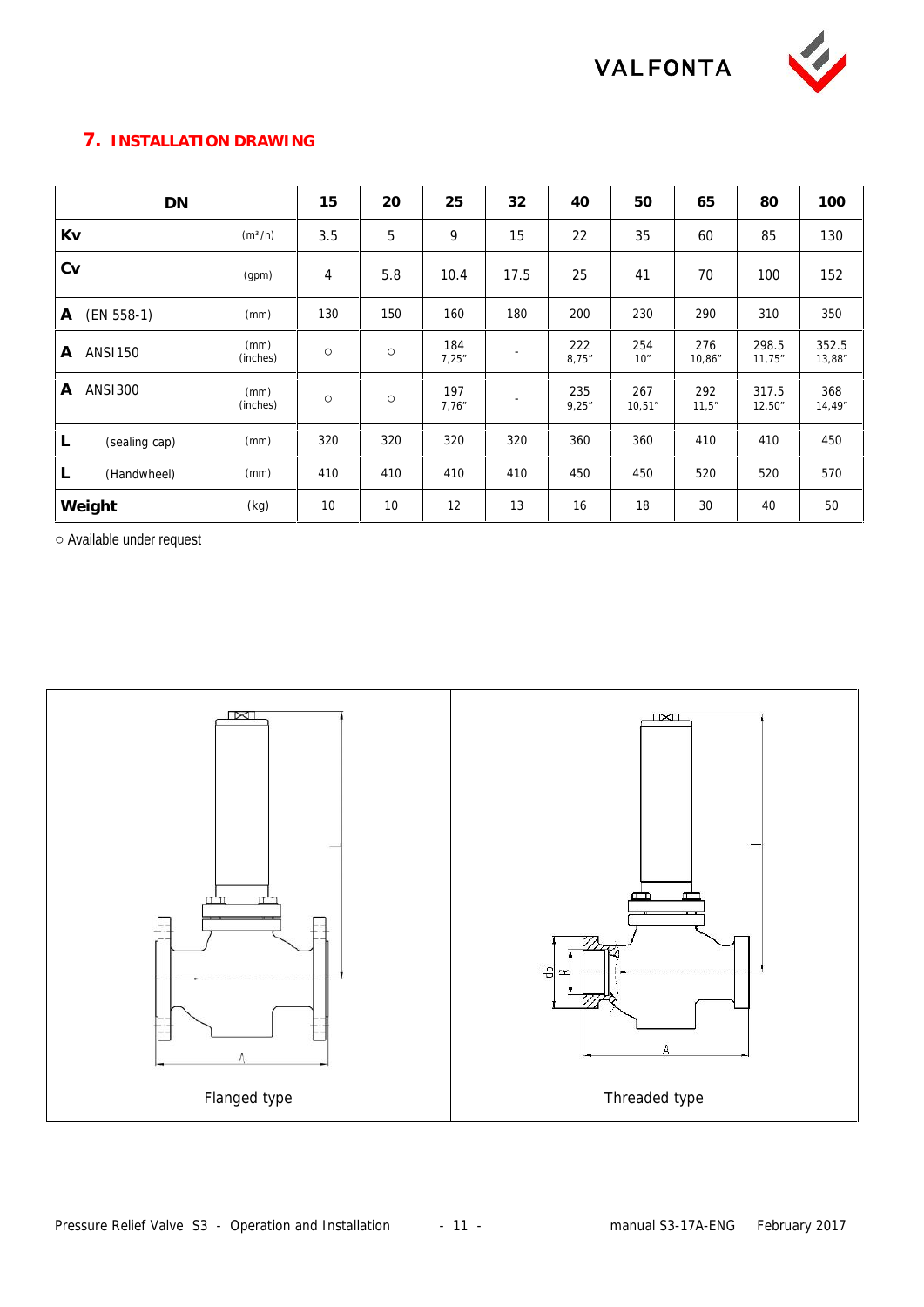

**VALFONTA**

### **7. INSTALLATION DRAWING**

| DN                  |                     | 15  | 20  | 25            | 32                       | 40           | 50            | 65            | 80              | 100             |
|---------------------|---------------------|-----|-----|---------------|--------------------------|--------------|---------------|---------------|-----------------|-----------------|
| Kv                  | (m <sup>3</sup> /h) | 3.5 | 5   | 9             | 15                       | 22           | 35            | 60            | 85              | 130             |
| Cv                  | (gpm)               | 4   | 5.8 | 10.4          | 17.5                     | 25           | 41            | 70            | 100             | 152             |
| $(EN 558-1)$<br>A   | (mm)                | 130 | 150 | 160           | 180                      | 200          | 230           | 290           | 310             | 350             |
| <b>ANSI150</b><br>A | (mm)<br>(inches)    |     |     | 184<br>7,25"  | $\overline{\phantom{a}}$ | 222<br>8,75" | 254<br>10"    | 276<br>10,86" | 298.5<br>11,75" | 352.5<br>13,88" |
| <b>ANS1300</b><br>A | (mm)<br>(inches)    |     |     | 197<br>7.76'' |                          | 235<br>9,25" | 267<br>10,51" | 292<br>11,5"  | 317.5<br>12,50" | 368<br>14,49"   |
| L<br>(sealing cap)  | (mm)                | 320 | 320 | 320           | 320                      | 360          | 360           | 410           | 410             | 450             |
| L<br>(Handwheel)    | (mm)                | 410 | 410 | 410           | 410                      | 450          | 450           | 520           | 520             | 570             |
| Weight              | (kg)                | 10  | 10  | 12            | 13                       | 16           | 18            | 30            | 40              | 50              |

Available under request